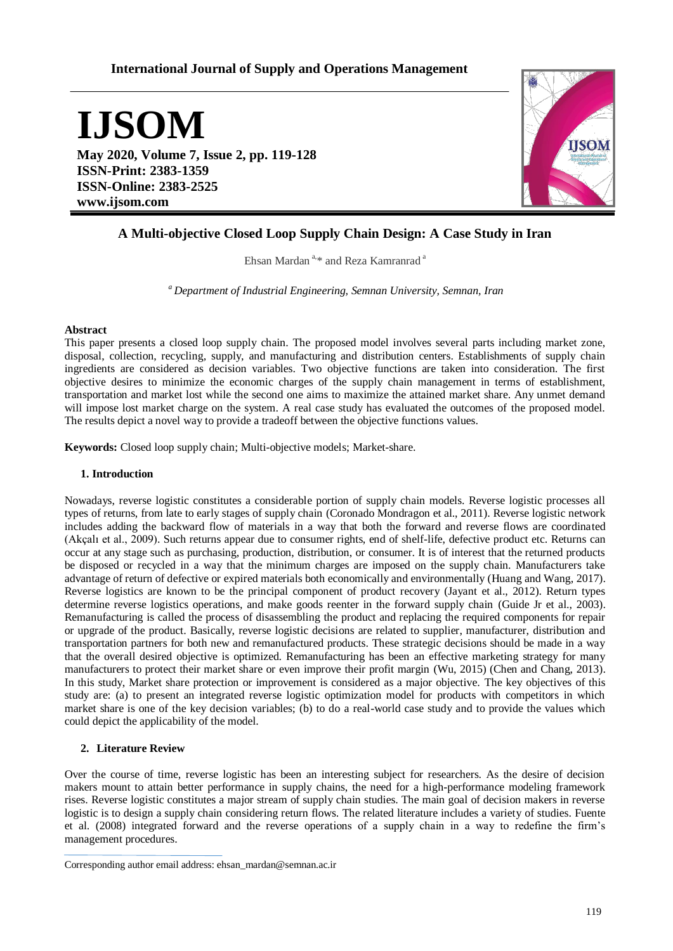# **International Journal of Supply and Operations Management**

**IJSOM**

**May 2020, Volume 7, Issue 2, pp. 119-128 ISSN-Print: 2383-1359 ISSN-Online: 2383-2525 www.ijsom.com**



# **A Multi-objective Closed Loop Supply Chain Design: A Case Study in Iran**

Ehsan Mardan<sup>a, \*</sup> and Reza Kamranrad<sup>a</sup>

*<sup>a</sup>Department of Industrial Engineering, Semnan University, Semnan, Iran*

### **Abstract**

This paper presents a closed loop supply chain. The proposed model involves several parts including market zone, disposal, collection, recycling, supply, and manufacturing and distribution centers. Establishments of supply chain ingredients are considered as decision variables. Two objective functions are taken into consideration. The first objective desires to minimize the economic charges of the supply chain management in terms of establishment, transportation and market lost while the second one aims to maximize the attained market share. Any unmet demand will impose lost market charge on the system. A real case study has evaluated the outcomes of the proposed model. The results depict a novel way to provide a tradeoff between the objective functions values.

**Keywords:** Closed loop supply chain; Multi-objective models; Market-share.

## **1. Introduction**

Nowadays, reverse logistic constitutes a considerable portion of supply chain models. Reverse logistic processes all types of returns, from late to early stages of supply chain (Coronado Mondragon et al., 2011). Reverse logistic network includes adding the backward flow of materials in a way that both the forward and reverse flows are coordinated (Akçalı et al., 2009). Such returns appear due to consumer rights, end of shelf-life, defective product etc. Returns can occur at any stage such as purchasing, production, distribution, or consumer. It is of interest that the returned products be disposed or recycled in a way that the minimum charges are imposed on the supply chain. Manufacturers take advantage of return of defective or expired materials both economically and environmentally (Huang and Wang, 2017). Reverse logistics are known to be the principal component of product recovery (Jayant et al., 2012). Return types determine reverse logistics operations, and make goods reenter in the forward supply chain (Guide Jr et al., 2003). Remanufacturing is called the process of disassembling the product and replacing the required components for repair or upgrade of the product. Basically, reverse logistic decisions are related to supplier, manufacturer, distribution and transportation partners for both new and remanufactured products. These strategic decisions should be made in a way that the overall desired objective is optimized. Remanufacturing has been an effective marketing strategy for many manufacturers to protect their market share or even improve their profit margin (Wu, 2015) (Chen and Chang, 2013). In this study, Market share protection or improvement is considered as a major objective. The key objectives of this study are: (a) to present an integrated reverse logistic optimization model for products with competitors in which market share is one of the key decision variables; (b) to do a real-world case study and to provide the values which could depict the applicability of the model.

# **2. Literature Review**

Over the course of time, reverse logistic has been an interesting subject for researchers. As the desire of decision makers mount to attain better performance in supply chains, the need for a high-performance modeling framework rises. Reverse logistic constitutes a major stream of supply chain studies. The main goal of decision makers in reverse logistic is to design a supply chain considering return flows. The related literature includes a variety of studies. Fuente et al. (2008) integrated forward and the reverse operations of a supply chain in a way to redefine the firm's management procedures.

Corresponding author email address: ehsan\_mardan@semnan.ac.ir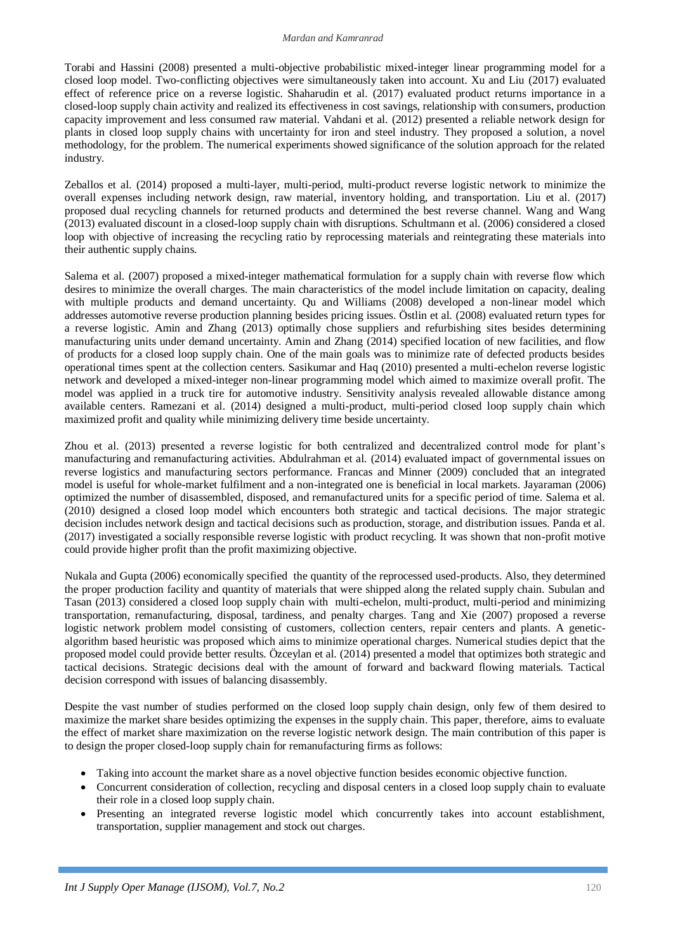### *Mardan and Kamranrad*

Torabi and Hassini (2008) presented a multi-objective probabilistic mixed-integer linear programming model for a closed loop model. Two-conflicting objectives were simultaneously taken into account. Xu and Liu (2017) evaluated effect of reference price on a reverse logistic. Shaharudin et al. (2017) evaluated product returns importance in a closed-loop supply chain activity and realized its effectiveness in cost savings, relationship with consumers, production capacity improvement and less consumed raw material. Vahdani et al. (2012) presented a reliable network design for plants in closed loop supply chains with uncertainty for iron and steel industry. They proposed a solution, a novel methodology, for the problem. The numerical experiments showed significance of the solution approach for the related industry.

Zeballos et al. (2014) proposed a multi-layer, multi-period, multi-product reverse logistic network to minimize the overall expenses including network design, raw material, inventory holding, and transportation. Liu et al. (2017) proposed dual recycling channels for returned products and determined the best reverse channel. Wang and Wang (2013) evaluated discount in a closed-loop supply chain with disruptions. Schultmann et al. (2006) considered a closed loop with objective of increasing the recycling ratio by reprocessing materials and reintegrating these materials into their authentic supply chains.

Salema et al. (2007) proposed a mixed-integer mathematical formulation for a supply chain with reverse flow which desires to minimize the overall charges. The main characteristics of the model include limitation on capacity, dealing with multiple products and demand uncertainty. Qu and Williams (2008) developed a non-linear model which addresses automotive reverse production planning besides pricing issues. Östlin et al. (2008) evaluated return types for a reverse logistic. Amin and Zhang (2013) optimally chose suppliers and refurbishing sites besides determining manufacturing units under demand uncertainty. Amin and Zhang (2014) specified location of new facilities, and flow of products for a closed loop supply chain. One of the main goals was to minimize rate of defected products besides operational times spent at the collection centers. Sasikumar and Haq (2010) presented a multi-echelon reverse logistic network and developed a mixed-integer non-linear programming model which aimed to maximize overall profit. The model was applied in a truck tire for automotive industry. Sensitivity analysis revealed allowable distance among available centers. Ramezani et al. (2014) designed a multi-product, multi-period closed loop supply chain which maximized profit and quality while minimizing delivery time beside uncertainty.

Zhou et al. (2013) presented a reverse logistic for both centralized and decentralized control mode for plant's manufacturing and remanufacturing activities. Abdulrahman et al. (2014) evaluated impact of governmental issues on reverse logistics and manufacturing sectors performance. Francas and Minner (2009) concluded that an integrated model is useful for whole-market fulfilment and a non-integrated one is beneficial in local markets. Jayaraman (2006) optimized the number of disassembled, disposed, and remanufactured units for a specific period of time. Salema et al. (2010) designed a closed loop model which encounters both strategic and tactical decisions. The major strategic decision includes network design and tactical decisions such as production, storage, and distribution issues. Panda et al. (2017) investigated a socially responsible reverse logistic with product recycling. It was shown that non-profit motive could provide higher profit than the profit maximizing objective.

Nukala and Gupta (2006) economically specified the quantity of the reprocessed used-products. Also, they determined the proper production facility and quantity of materials that were shipped along the related supply chain. Subulan and Tasan (2013) considered a closed loop supply chain with multi-echelon, multi-product, multi-period and minimizing transportation, remanufacturing, disposal, tardiness, and penalty charges. Tang and Xie (2007) proposed a reverse logistic network problem model consisting of customers, collection centers, repair centers and plants. A geneticalgorithm based heuristic was proposed which aims to minimize operational charges. Numerical studies depict that the proposed model could provide better results. Özceylan et al. (2014) presented a model that optimizes both strategic and tactical decisions. Strategic decisions deal with the amount of forward and backward flowing materials. Tactical decision correspond with issues of balancing disassembly.

Despite the vast number of studies performed on the closed loop supply chain design, only few of them desired to maximize the market share besides optimizing the expenses in the supply chain. This paper, therefore, aims to evaluate the effect of market share maximization on the reverse logistic network design. The main contribution of this paper is to design the proper closed-loop supply chain for remanufacturing firms as follows:

- Taking into account the market share as a novel objective function besides economic objective function.
- Concurrent consideration of collection, recycling and disposal centers in a closed loop supply chain to evaluate their role in a closed loop supply chain.
- Presenting an integrated reverse logistic model which concurrently takes into account establishment, transportation, supplier management and stock out charges.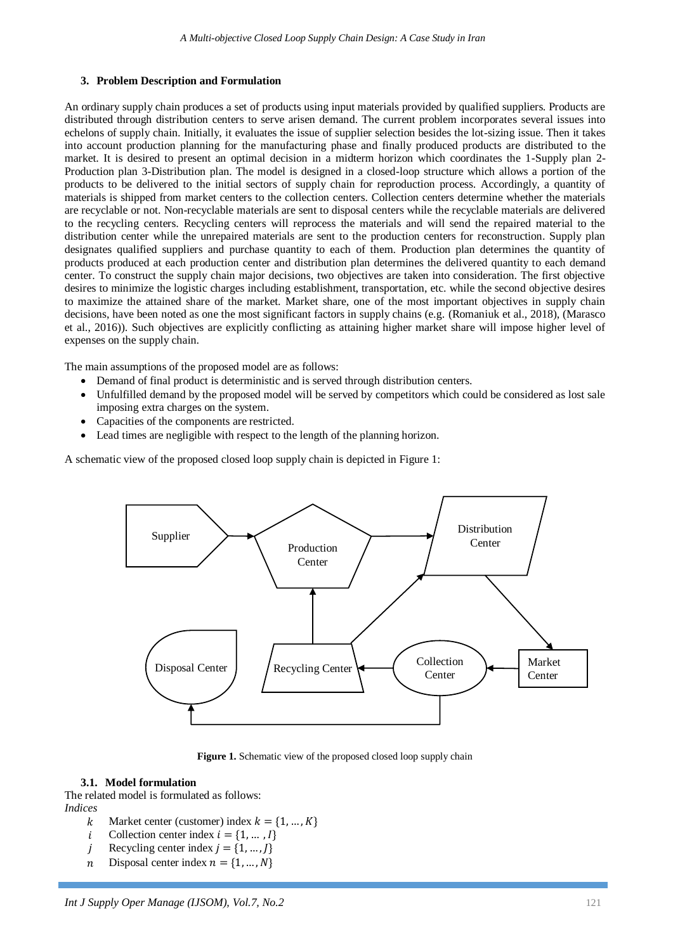# **3. Problem Description and Formulation**

An ordinary supply chain produces a set of products using input materials provided by qualified suppliers. Products are distributed through distribution centers to serve arisen demand. The current problem incorporates several issues into echelons of supply chain. Initially, it evaluates the issue of supplier selection besides the lot-sizing issue. Then it takes into account production planning for the manufacturing phase and finally produced products are distributed to the market. It is desired to present an optimal decision in a midterm horizon which coordinates the 1-Supply plan 2- Production plan 3-Distribution plan. The model is designed in a closed-loop structure which allows a portion of the products to be delivered to the initial sectors of supply chain for reproduction process. Accordingly, a quantity of materials is shipped from market centers to the collection centers. Collection centers determine whether the materials are recyclable or not. Non-recyclable materials are sent to disposal centers while the recyclable materials are delivered to the recycling centers. Recycling centers will reprocess the materials and will send the repaired material to the distribution center while the unrepaired materials are sent to the production centers for reconstruction. Supply plan designates qualified suppliers and purchase quantity to each of them. Production plan determines the quantity of products produced at each production center and distribution plan determines the delivered quantity to each demand center. To construct the supply chain major decisions, two objectives are taken into consideration. The first objective desires to minimize the logistic charges including establishment, transportation, etc. while the second objective desires to maximize the attained share of the market. Market share, one of the most important objectives in supply chain decisions, have been noted as one the most significant factors in supply chains (e.g. (Romaniuk et al., 2018), (Marasco et al., 2016)). Such objectives are explicitly conflicting as attaining higher market share will impose higher level of expenses on the supply chain.

The main assumptions of the proposed model are as follows:

- Demand of final product is deterministic and is served through distribution centers.
- Unfulfilled demand by the proposed model will be served by competitors which could be considered as lost sale imposing extra charges on the system.
- Capacities of the components are restricted.
- Lead times are negligible with respect to the length of the planning horizon.

A schematic view of the proposed closed loop supply chain is depicted in Figure 1:



Figure 1. Schematic view of the proposed closed loop supply chain

# **3.1. Model formulation**

The related model is formulated as follows: *Indices*

- k Market center (customer) index  $k = \{1, ..., K\}$
- *i* Collection center index  $i = \{1, ..., I\}$
- *i* Recycling center index  $i = \{1, ..., l\}$
- *n* Disposal center index  $n = \{1, ..., N\}$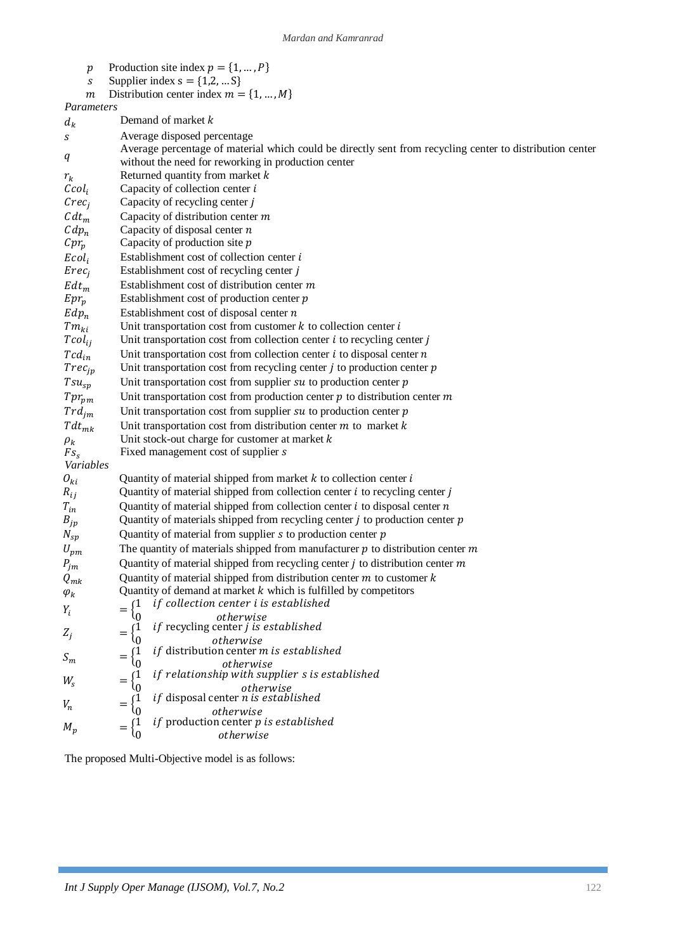- $p$  Production site index
- s Supplier index
- $m$  Distribution center index

*Parameters*

| $d_k$             | Demand of market k                                                                                       |
|-------------------|----------------------------------------------------------------------------------------------------------|
| S                 | Average disposed percentage                                                                              |
|                   | Average percentage of material which could be directly sent from recycling center to distribution center |
| q                 | without the need for reworking in production center                                                      |
| $r_k$             | Returned quantity from market $k$                                                                        |
| Ccol <sub>i</sub> | Capacity of collection center $i$                                                                        |
| $Crec_j$          | Capacity of recycling center j                                                                           |
| $Cdt_m$           | Capacity of distribution center $m$                                                                      |
| $Cdp_n$           | Capacity of disposal center $n$                                                                          |
| $Cpr_p$           | Capacity of production site $p$                                                                          |
| Ecol <sub>i</sub> | Establishment cost of collection center i                                                                |
| $Erec_j$          | Establishment cost of recycling center j                                                                 |
| $Edt_m$           | Establishment cost of distribution center $m$                                                            |
| $Epr_p$           | Establishment cost of production center $p$                                                              |
| $Edp_n$           | Establishment cost of disposal center $n$                                                                |
| $Tm_{ki}$         | Unit transportation cost from customer $k$ to collection center $i$                                      |
| $Tcol_{ij}$       | Unit transportation cost from collection center $i$ to recycling center $j$                              |
| $Tcd_{in}$        | Unit transportation cost from collection center $i$ to disposal center $n$                               |
| $Trec_{jp}$       | Unit transportation cost from recycling center $j$ to production center $p$                              |
| $Tsu_{sp}$        | Unit transportation cost from supplier $su$ to production center $p$                                     |
| $Tpr_{pm}$        | Unit transportation cost from production center $p$ to distribution center $m$                           |
| $Trd_{im}$        | Unit transportation cost from supplier $su$ to production center $p$                                     |
| $Tdt_{mk}$        | Unit transportation cost from distribution center $m$ to market $k$                                      |
| $\rho_k$          | Unit stock-out charge for customer at market $k$                                                         |
| Fs <sub>s</sub>   | Fixed management cost of supplier s                                                                      |
| Variables         |                                                                                                          |
| $O_{ki}$          | Quantity of material shipped from market $k$ to collection center $i$                                    |
| $R_{ij}$          | Quantity of material shipped from collection center $i$ to recycling center $j$                          |
| $T_{in}$          | Quantity of material shipped from collection center $i$ to disposal center $n$                           |
| $B_{jp}$          | Quantity of materials shipped from recycling center $j$ to production center $p$                         |
| $N_{sp}$          | Quantity of material from supplier $s$ to production center $p$                                          |
| $U_{pm}$          | The quantity of materials shipped from manufacturer $p$ to distribution center $m$                       |
| $P_{jm}$          | Quantity of material shipped from recycling center $j$ to distribution center $m$                        |
| $Q_{mk}$          | Quantity of material shipped from distribution center $m$ to customer $k$                                |
| $\varphi_k$       | Quantity of demand at market $k$ which is fulfilled by competitors                                       |
| $Y_i$             | if collection center i is established                                                                    |
|                   | otherwise<br>if recycling center j is established                                                        |
| $Z_i$             | otherwise                                                                                                |
|                   | <i>if</i> distribution center <i>m</i> is established<br>$=$                                             |
| $S_m$             | otherwise                                                                                                |
| $W_{\rm s}$       | if relationship with supplier s is established<br>$=$                                                    |
|                   | otherwise<br>if disposal center n is established                                                         |
| $V_n$             | $=$<br>otherwise                                                                                         |
|                   | <i>if</i> production center $p$ is established                                                           |
| $M_p$             | $=$<br>otherwise                                                                                         |

The proposed Multi-Objective model is as follows: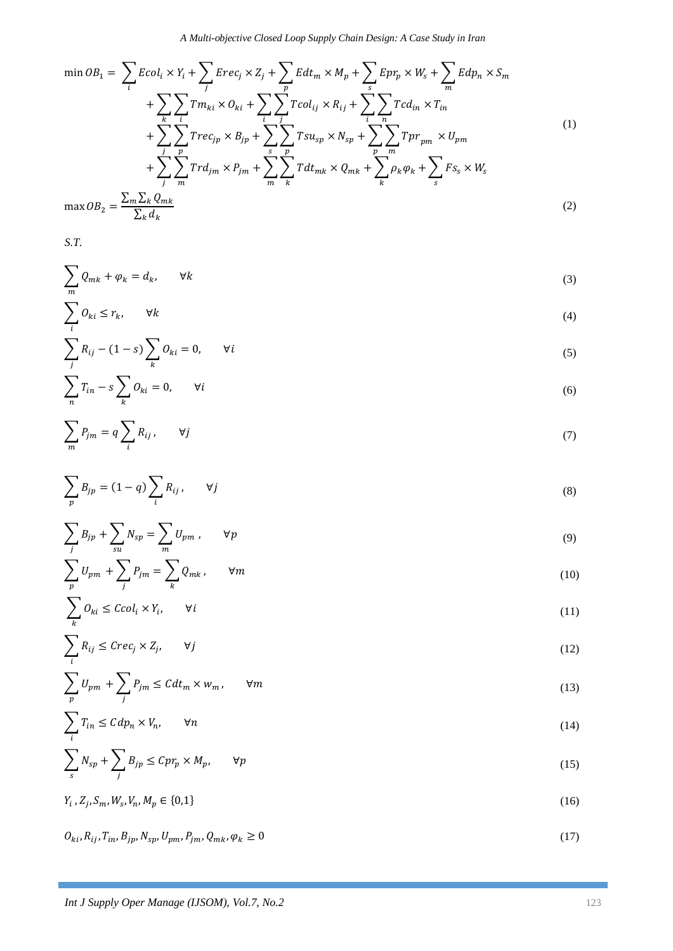*A Multi-objective Closed Loop Supply Chain Design: A Case Study in Iran*

$$
\min OB_1 = \sum_{i} Ecol_i \times Y_i + \sum_{j} Erec_j \times Z_j + \sum_{p} Edt_m \times M_p + \sum_{s} Epr_p \times W_s + \sum_{m} Edp_n \times S_m
$$
  
+ 
$$
\sum_{k} \sum_{i} Tm_{ki} \times O_{ki} + \sum_{i} \sum_{j} Tcol_{ij} \times R_{ij} + \sum_{i} \sum_{n} Tcd_{in} \times T_{in}
$$
  
+ 
$$
\sum_{j} \sum_{p} Trec_{jp} \times B_{jp} + \sum_{s} \sum_{p} Tsu_{sp} \times N_{sp} + \sum_{p} \sum_{m} Tpr_{pm} \times U_{pm}
$$
  
+ 
$$
\sum_{j} \sum_{m} Trd_{jm} \times P_{jm} + \sum_{m} \sum_{k} Tdt_{mk} \times Q_{mk} + \sum_{k} \rho_k \varphi_k + \sum_{s} Fs_s \times W_s
$$
  

$$
\max OB_2 = \frac{\sum_{m} \sum_{k} Q_{mk}}{\sum_{k} d_{k}}
$$
 (2)

*S.T.*

$$
\sum_{m} Q_{mk} + \varphi_k = d_k, \qquad \forall k \tag{3}
$$

$$
\sum_{i} O_{ki} \le r_k, \qquad \forall k \tag{4}
$$

$$
\sum_{j} R_{ij} - (1 - s) \sum_{k} O_{ki} = 0, \qquad \forall i
$$
\n<sup>(5)</sup>

$$
\sum_{n} T_{in} - s \sum_{k} O_{ki} = 0, \qquad \forall i
$$
\n<sup>(6)</sup>

$$
\sum_{m} P_{jm} = q \sum_{i} R_{ij}, \qquad \forall j \tag{7}
$$

$$
\sum_{p} B_{jp} = (1 - q) \sum_{i} R_{ij}, \qquad \forall j \tag{8}
$$

$$
\sum_{j} B_{jp} + \sum_{su} N_{sp} = \sum_{m} U_{pm} , \qquad \forall p
$$
\n(9)

$$
\sum_{p} U_{pm} + \sum_{j} P_{jm} = \sum_{k} Q_{mk}, \qquad \forall m
$$
\n(10)

$$
\sum_{k} O_{ki} \leq Ccol_i \times Y_i, \qquad \forall i
$$
\n(11)

$$
\sum_{i} R_{ij} \leq \text{Crec}_j \times Z_j, \qquad \forall j \tag{12}
$$

$$
\sum_{p} U_{pm} + \sum_{j} P_{jm} \leq C dt_{m} \times w_{m}, \qquad \forall m
$$
\n(13)

$$
\sum_{i} T_{in} \leq C dp_n \times V_n, \qquad \forall n \tag{14}
$$

$$
\sum_{s} N_{sp} + \sum_{j} B_{jp} \le Cpr_p \times M_p, \qquad \forall p \tag{15}
$$

$$
Y_i, Z_j, S_m, W_s, V_n, M_p \in \{0, 1\}
$$
 (16)

 $O_{ki}, R_{ij}, T_{in}, B_{jp}, N_{sp}, U_{pm}, P_{jm}, Q_{mk}, \varphi_k \ge 0$  (17)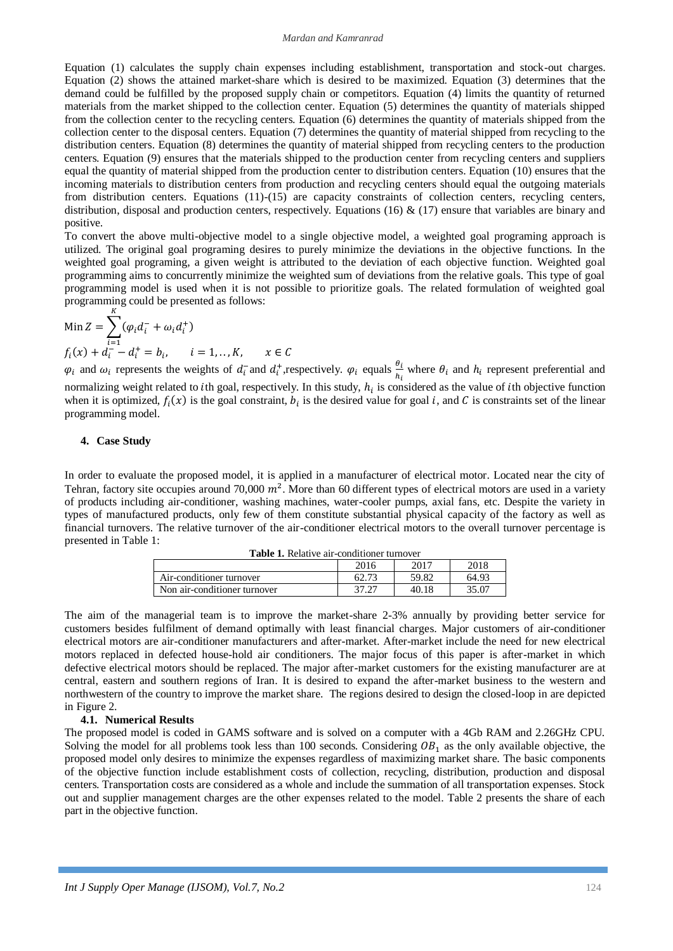#### *Mardan and Kamranrad*

Equation (1) calculates the supply chain expenses including establishment, transportation and stock-out charges. Equation (2) shows the attained market-share which is desired to be maximized. Equation (3) determines that the demand could be fulfilled by the proposed supply chain or competitors. Equation (4) limits the quantity of returned materials from the market shipped to the collection center. Equation (5) determines the quantity of materials shipped from the collection center to the recycling centers. Equation (6) determines the quantity of materials shipped from the collection center to the disposal centers. Equation (7) determines the quantity of material shipped from recycling to the distribution centers. Equation (8) determines the quantity of material shipped from recycling centers to the production centers. Equation (9) ensures that the materials shipped to the production center from recycling centers and suppliers equal the quantity of material shipped from the production center to distribution centers. Equation (10) ensures that the incoming materials to distribution centers from production and recycling centers should equal the outgoing materials from distribution centers. Equations (11)-(15) are capacity constraints of collection centers, recycling centers, distribution, disposal and production centers, respectively. Equations (16) & (17) ensure that variables are binary and positive.

To convert the above multi-objective model to a single objective model, a weighted goal programing approach is utilized. The original goal programing desires to purely minimize the deviations in the objective functions. In the weighted goal programing, a given weight is attributed to the deviation of each objective function. Weighted goal programming aims to concurrently minimize the weighted sum of deviations from the relative goals. This type of goal programming model is used when it is not possible to prioritize goals. The related formulation of weighted goal programming could be presented as follows: K

Min 
$$
Z = \sum_{i=1}^{i=1} (\varphi_i d_i^- + \omega_i d_i^+)
$$
  
\n $f_i(x) + d_i^- - d_i^+ = b_i, \qquad i = 1, ..., K, \qquad x \in C$ 

 $\varphi_i$  and  $\omega_i$  represents the weights of  $d_i$  and  $d_i^+$ , respectively.  $\varphi_i$  equals  $\frac{\theta_i}{h_i}$  where  $\theta_i$  and  $h_i$  represent preferential and normalizing weight related to *i*th goal, respectively. In this study,  $h_i$  is considered as the value of *i*th objective function when it is optimized,  $f_i(x)$  is the goal constraint,  $b_i$  is the desired value for goal i, and C is constraints set of the linear programming model.

## **4. Case Study**

In order to evaluate the proposed model, it is applied in a manufacturer of electrical motor. Located near the city of Tehran, factory site occupies around 70,000  $m^2$ . More than 60 different types of electrical motors are used in a variety of products including air-conditioner, washing machines, water-cooler pumps, axial fans, etc. Despite the variety in types of manufactured products, only few of them constitute substantial physical capacity of the factory as well as financial turnovers. The relative turnover of the air-conditioner electrical motors to the overall turnover percentage is presented in Table 1:

| <b>Table 1.</b> Relative air-conditioner turnover |       |       |       |  |  |
|---------------------------------------------------|-------|-------|-------|--|--|
|                                                   | 2016  | 2017  | 2018  |  |  |
| Air-conditioner turnover                          | 62.73 | 59.82 | 64.93 |  |  |
| Non air-conditioner turnover                      | 37.27 | 40.18 | 35.07 |  |  |

The aim of the managerial team is to improve the market-share 2-3% annually by providing better service for customers besides fulfilment of demand optimally with least financial charges. Major customers of air-conditioner electrical motors are air-conditioner manufacturers and after-market. After-market include the need for new electrical motors replaced in defected house-hold air conditioners. The major focus of this paper is after-market in which defective electrical motors should be replaced. The major after-market customers for the existing manufacturer are at central, eastern and southern regions of Iran. It is desired to expand the after-market business to the western and northwestern of the country to improve the market share. The regions desired to design the closed-loop in are depicted in Figure 2.

#### **4.1. Numerical Results**

The proposed model is coded in GAMS software and is solved on a computer with a 4Gb RAM and 2.26GHz CPU. Solving the model for all problems took less than 100 seconds. Considering  $OB<sub>1</sub>$  as the only available objective, the proposed model only desires to minimize the expenses regardless of maximizing market share. The basic components of the objective function include establishment costs of collection, recycling, distribution, production and disposal centers. Transportation costs are considered as a whole and include the summation of all transportation expenses. Stock out and supplier management charges are the other expenses related to the model. Table 2 presents the share of each part in the objective function.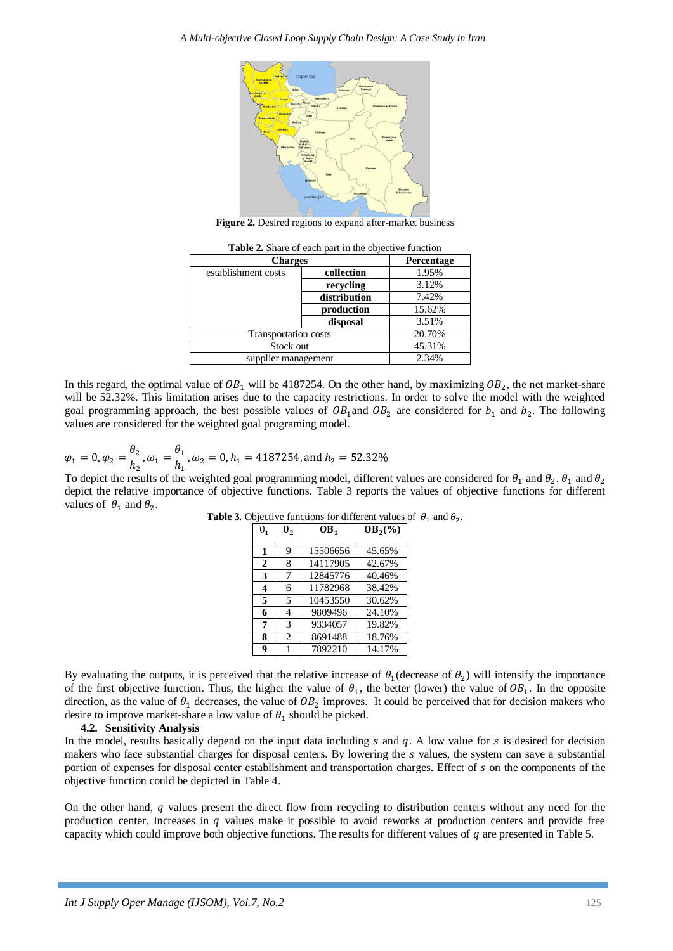

**Figure 2.** Desired regions to expand after-market business

| <b>Charges</b>      | Percentage                  |        |  |
|---------------------|-----------------------------|--------|--|
| establishment costs | collection                  | 1.95%  |  |
|                     | recycling                   | 3.12%  |  |
|                     | distribution                | 7.42%  |  |
|                     | production                  | 15.62% |  |
|                     | disposal                    | 3.51%  |  |
|                     | <b>Transportation</b> costs |        |  |
| Stock out           | 45.31%                      |        |  |
| supplier management | 2.34%                       |        |  |

Table 2. Share of each part in the objective function

In this regard, the optimal value of  $OB_1$  will be 4187254. On the other hand, by maximizing  $OB_2$ , the net market-share will be 52.32%. This limitation arises due to the capacity restrictions. In order to solve the model with the weighted goal programming approach, the best possible values of  $OB_1$  and  $OB_2$  are considered for  $b_1$  and  $b_2$ . The following values are considered for the weighted goal programing model.

$$
\varphi_1 = 0, \varphi_2 = \frac{\theta_2}{h_2}, \omega_1 = \frac{\theta_1}{h_1}, \omega_2 = 0, h_1 = 4187254, \text{and } h_2 = 52.32\%
$$

To depict the results of the weighted goal programming model, different values are considered for  $\theta_1$  and  $\theta_2$ .  $\theta_1$  and depict the relative importance of objective functions. Table 3 reports the values of objective functions for different values of  $\theta_1$  and  $\theta_2$ .

| $\theta_1$              | $\theta_2$     | OB <sub>1</sub> | $OB2(\%)$ |
|-------------------------|----------------|-----------------|-----------|
|                         |                |                 |           |
| 1                       | 9              | 15506656        | 45.65%    |
| $\mathbf{2}$            | 8              | 14117905        | 42.67%    |
| 3                       | 7              | 12845776        | 40.46%    |
| $\overline{\mathbf{4}}$ | 6              | 11782968        | 38.42%    |
| 5                       | 5              | 10453550        | 30.62%    |
| 6                       | 4              | 9809496         | 24.10%    |
| 7                       | 3              | 9334057         | 19.82%    |
| 8                       | $\overline{c}$ | 8691488         | 18.76%    |
| 9                       |                | 7892210         | 14.17%    |

| <b>Table 3.</b> Objective functions for different values of $\theta_1$ and $\theta_2$ |  |  |  |  |  |
|---------------------------------------------------------------------------------------|--|--|--|--|--|
|---------------------------------------------------------------------------------------|--|--|--|--|--|

.

By evaluating the outputs, it is perceived that the relative increase of  $\theta_1$  (decrease of  $\theta_2$ ) will intensify the importance of the first objective function. Thus, the higher the value of  $\theta_1$ , the better (lower) the value of  $OB_1$ . In the opposite direction, as the value of  $\theta_1$  decreases, the value of  $OB_2$  improves. It could be perceived that for decision makers who desire to improve market-share a low value of  $\theta_1$  should be picked.

### **4.2. Sensitivity Analysis**

In the model, results basically depend on the input data including  $s$  and  $q$ . A low value for  $s$  is desired for decision makers who face substantial charges for disposal centers. By lowering the  $s$  values, the system can save a substantial portion of expenses for disposal center establishment and transportation charges. Effect of  $s$  on the components of the objective function could be depicted in Table 4.

On the other hand,  $q$  values present the direct flow from recycling to distribution centers without any need for the production center. Increases in  $q$  values make it possible to avoid reworks at production centers and provide free capacity which could improve both objective functions. The results for different values of  $q$  are presented in Table 5.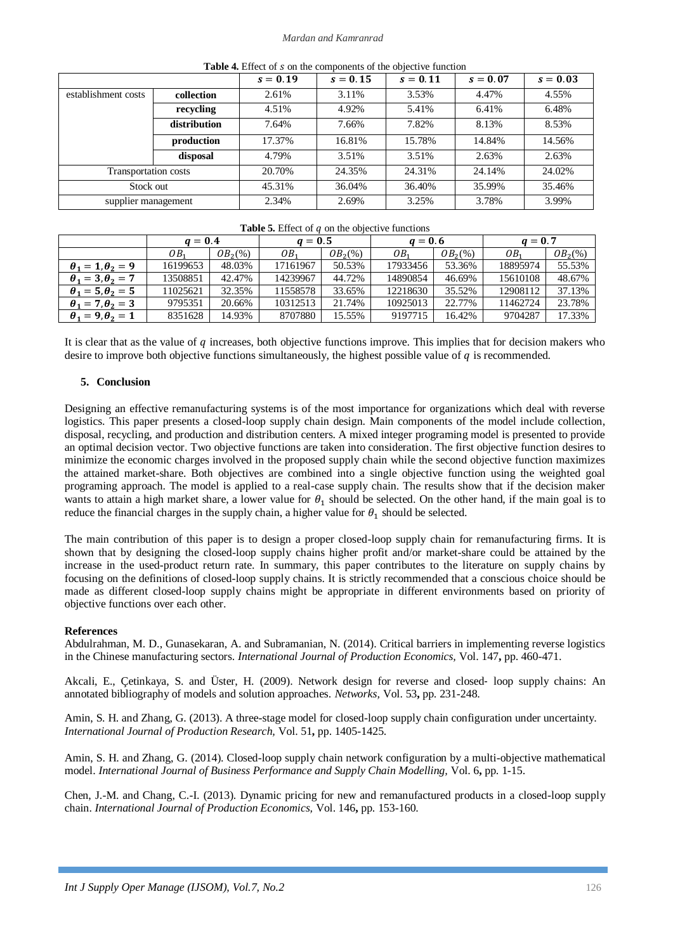### *Mardan and Kamranrad*

| where it millers of a out the component of the outpett to function |              |            |            |            |            |            |
|--------------------------------------------------------------------|--------------|------------|------------|------------|------------|------------|
|                                                                    |              | $s = 0.19$ | $s = 0.15$ | $s = 0.11$ | $s = 0.07$ | $s = 0.03$ |
| establishment costs                                                | collection   | 2.61%      | 3.11%      | 3.53%      | 4.47%      | 4.55%      |
|                                                                    | recycling    | 4.51%      | 4.92%      | 5.41%      | 6.41%      | 6.48%      |
|                                                                    | distribution | 7.64%      | 7.66%      | 7.82%      | 8.13%      | 8.53%      |
|                                                                    | production   | 17.37%     | 16.81%     | 15.78%     | 14.84%     | 14.56%     |
|                                                                    | disposal     | 4.79%      | 3.51%      | 3.51%      | 2.63%      | 2.63%      |
| Transportation costs                                               |              | 20.70%     | 24.35%     | 24.31%     | 24.14%     | 24.02%     |
| Stock out                                                          |              | 45.31%     | 36.04%     | 36.40%     | 35.99%     | 35.46%     |
| supplier management                                                |              | 2.34%      | 2.69%      | 3.25%      | 3.78%      | 3.99%      |

**Table 4.** Effect of s on the components of the objective function

### **Table 5.** Effect of  $q$  on the objective functions

|                              | $q=0.4$  |            | $a=0.5$         |            | $a = 0.6$ |                      | $a = 0.7$       |                     |
|------------------------------|----------|------------|-----------------|------------|-----------|----------------------|-----------------|---------------------|
|                              | 0B,      | $OB_2(\%)$ | OB <sub>1</sub> | $OB_2(\%)$ | OB.       | OB <sub>2</sub> (% ) | OB <sub>1</sub> | OB <sub>2</sub> (%) |
| $\theta_1 = 1, \theta_2 = 9$ | 16199653 | 48.03%     | 17161967        | 50.53%     | 17933456  | 53.36%               | 18895974        | 55.53%              |
| $\theta_1 = 3, \theta_2 = 7$ | 13508851 | 42.47%     | 14239967        | 44.72%     | 14890854  | 46.69%               | 15610108        | 48.67%              |
| $\theta_1 = 5, \theta_2 = 5$ | 11025621 | 32.35%     | 11558578        | 33.65%     | 12218630  | 35.52%               | 12908112        | 37.13%              |
| $\theta_1 = 7, \theta_2 = 3$ | 9795351  | 20.66%     | 10312513        | 21.74%     | 10925013  | 22.77%               | 11462724        | 23.78%              |
| $\theta_1 = 9, \theta_2 = 1$ | 8351628  | 14.93%     | 8707880         | 15.55%     | 9197715   | 16.42%               | 9704287         | 17.33%              |

It is clear that as the value of q increases, both objective functions improve. This implies that for decision makers who desire to improve both objective functions simultaneously, the highest possible value of  $q$  is recommended.

# **5. Conclusion**

Designing an effective remanufacturing systems is of the most importance for organizations which deal with reverse logistics. This paper presents a closed-loop supply chain design. Main components of the model include collection, disposal, recycling, and production and distribution centers. A mixed integer programing model is presented to provide an optimal decision vector. Two objective functions are taken into consideration. The first objective function desires to minimize the economic charges involved in the proposed supply chain while the second objective function maximizes the attained market-share. Both objectives are combined into a single objective function using the weighted goal programing approach. The model is applied to a real-case supply chain. The results show that if the decision maker wants to attain a high market share, a lower value for  $\theta_1$  should be selected. On the other hand, if the main goal is to reduce the financial charges in the supply chain, a higher value for  $\theta_1$  should be selected.

The main contribution of this paper is to design a proper closed-loop supply chain for remanufacturing firms. It is shown that by designing the closed-loop supply chains higher profit and/or market-share could be attained by the increase in the used-product return rate. In summary, this paper contributes to the literature on supply chains by focusing on the definitions of closed-loop supply chains. It is strictly recommended that a conscious choice should be made as different closed-loop supply chains might be appropriate in different environments based on priority of objective functions over each other.

### **References**

Abdulrahman, M. D., Gunasekaran, A. and Subramanian, N. (2014). Critical barriers in implementing reverse logistics in the Chinese manufacturing sectors. *International Journal of Production Economics,* Vol. 147**,** pp. 460-471.

Akcali, E., Çetinkaya, S. and Üster, H. (2009). Network design for reverse and closed‐ loop supply chains: An annotated bibliography of models and solution approaches. *Networks,* Vol. 53**,** pp. 231-248.

Amin, S. H. and Zhang, G. (2013). A three-stage model for closed-loop supply chain configuration under uncertainty. *International Journal of Production Research,* Vol. 51**,** pp. 1405-1425.

Amin, S. H. and Zhang, G. (2014). Closed-loop supply chain network configuration by a multi-objective mathematical model. *International Journal of Business Performance and Supply Chain Modelling,* Vol. 6**,** pp. 1-15.

Chen, J.-M. and Chang, C.-I. (2013). Dynamic pricing for new and remanufactured products in a closed-loop supply chain. *International Journal of Production Economics,* Vol. 146**,** pp. 153-160.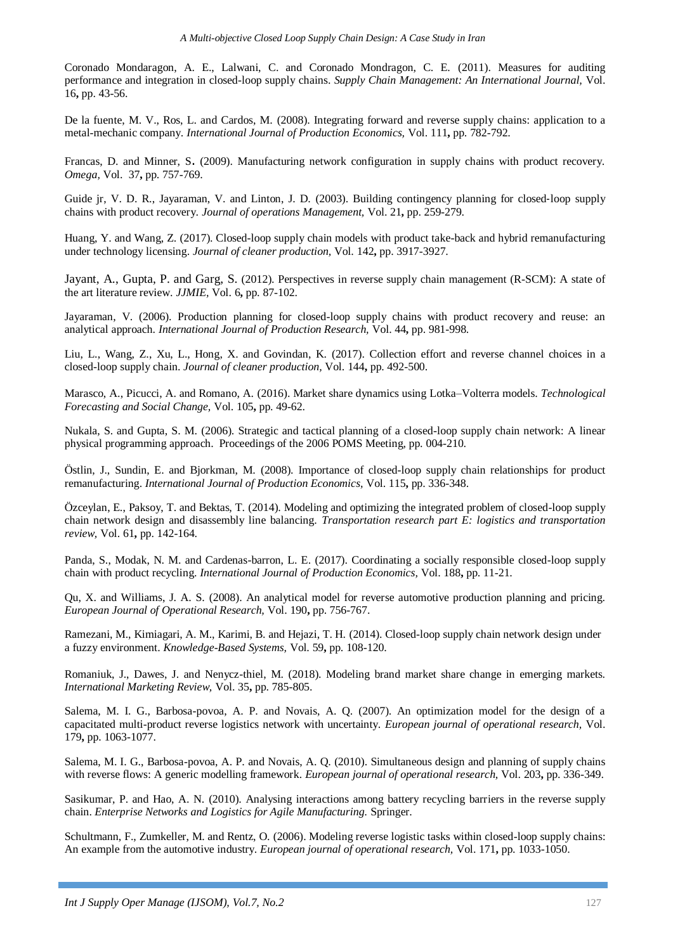Coronado Mondaragon, A. E., Lalwani, C. and Coronado Mondragon, C. E. (2011). Measures for auditing performance and integration in closed-loop supply chains. *Supply Chain Management: An International Journal,* Vol. 16**,** pp. 43-56.

De la fuente, M. V., Ros, L. and Cardos, M. (2008). Integrating forward and reverse supply chains: application to a metal-mechanic company. *International Journal of Production Economics,* Vol. 111**,** pp. 782-792.

Francas, D. and Minner, S. (2009). Manufacturing network configuration in supply chains with product recovery. *Omega,* Vol. 37**,** pp. 757-769.

Guide jr, V. D. R., Jayaraman, V. and Linton, J. D. (2003). Building contingency planning for closed-loop supply chains with product recovery. *Journal of operations Management,* Vol. 21**,** pp. 259-279.

Huang, Y. and Wang, Z. (2017). Closed-loop supply chain models with product take-back and hybrid remanufacturing under technology licensing. *Journal of cleaner production,* Vol. 142**,** pp. 3917-3927.

Jayant, A., Gupta, P. and Garg, S. (2012). Perspectives in reverse supply chain management (R-SCM): A state of the art literature review. *JJMIE,* Vol. 6**,** pp. 87-102.

Jayaraman, V. (2006). Production planning for closed-loop supply chains with product recovery and reuse: an analytical approach. *International Journal of Production Research,* Vol. 44**,** pp. 981-998.

Liu, L., Wang, Z., Xu, L., Hong, X. and Govindan, K. (2017). Collection effort and reverse channel choices in a closed-loop supply chain. *Journal of cleaner production,* Vol. 144**,** pp. 492-500.

Marasco, A., Picucci, A. and Romano, A. (2016). Market share dynamics using Lotka–Volterra models. *Technological Forecasting and Social Change,* Vol. 105**,** pp. 49-62.

Nukala, S. and Gupta, S. M. (2006). Strategic and tactical planning of a closed-loop supply chain network: A linear physical programming approach. Proceedings of the 2006 POMS Meeting, pp. 004-210.

Östlin, J., Sundin, E. and Bjorkman, M. (2008). Importance of closed-loop supply chain relationships for product remanufacturing. *International Journal of Production Economics,* Vol. 115**,** pp. 336-348.

Özceylan, E., Paksoy, T. and Bektas, T. (2014). Modeling and optimizing the integrated problem of closed-loop supply chain network design and disassembly line balancing. *Transportation research part E: logistics and transportation review,* Vol. 61**,** pp. 142-164.

Panda, S., Modak, N. M. and Cardenas-barron, L. E. (2017). Coordinating a socially responsible closed-loop supply chain with product recycling. *International Journal of Production Economics,* Vol. 188**,** pp. 11-21.

Qu, X. and Williams, J. A. S. (2008). An analytical model for reverse automotive production planning and pricing. *European Journal of Operational Research,* Vol. 190**,** pp. 756-767.

Ramezani, M., Kimiagari, A. M., Karimi, B. and Hejazi, T. H. (2014). Closed-loop supply chain network design under a fuzzy environment. *Knowledge-Based Systems,* Vol. 59**,** pp. 108-120.

Romaniuk, J., Dawes, J. and Nenycz-thiel, M. (2018). Modeling brand market share change in emerging markets. *International Marketing Review,* Vol. 35**,** pp. 785-805.

Salema, M. I. G., Barbosa-povoa, A. P. and Novais, A. Q. (2007). An optimization model for the design of a capacitated multi-product reverse logistics network with uncertainty. *European journal of operational research,* Vol. 179**,** pp. 1063-1077.

Salema, M. I. G., Barbosa-povoa, A. P. and Novais, A. Q. (2010). Simultaneous design and planning of supply chains with reverse flows: A generic modelling framework. *European journal of operational research,* Vol. 203**,** pp. 336-349.

Sasikumar, P. and Hao, A. N. (2010). Analysing interactions among battery recycling barriers in the reverse supply chain. *Enterprise Networks and Logistics for Agile Manufacturing.* Springer.

Schultmann, F., Zumkeller, M. and Rentz, O. (2006). Modeling reverse logistic tasks within closed-loop supply chains: An example from the automotive industry. *European journal of operational research,* Vol. 171**,** pp. 1033-1050.